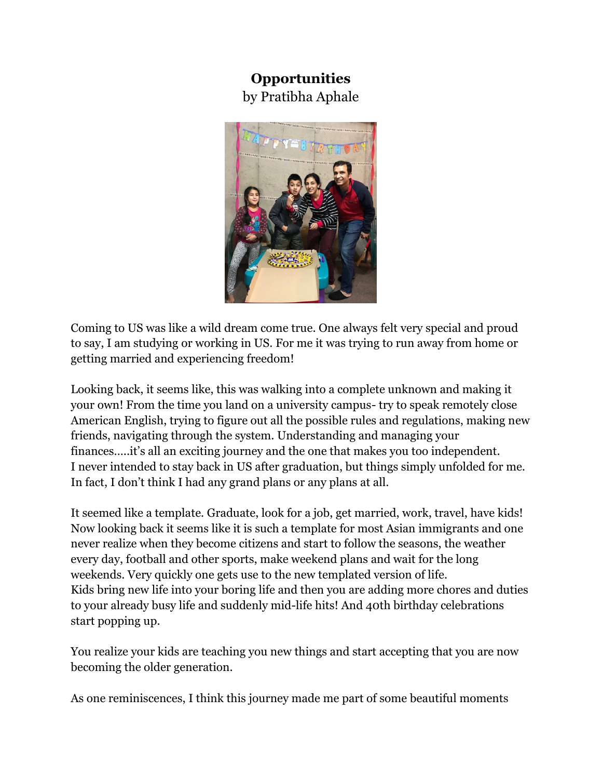## **Opportunities** by Pratibha Aphale



Coming to US was like a wild dream come true. One always felt very special and proud to say, I am studying or working in US. For me it was trying to run away from home or getting married and experiencing freedom!

Looking back, it seems like, this was walking into a complete unknown and making it your own! From the time you land on a university campus- try to speak remotely close American English, trying to figure out all the possible rules and regulations, making new friends, navigating through the system. Understanding and managing your finances…..it's all an exciting journey and the one that makes you too independent. I never intended to stay back in US after graduation, but things simply unfolded for me. In fact, I don't think I had any grand plans or any plans at all.

It seemed like a template. Graduate, look for a job, get married, work, travel, have kids! Now looking back it seems like it is such a template for most Asian immigrants and one never realize when they become citizens and start to follow the seasons, the weather every day, football and other sports, make weekend plans and wait for the long weekends. Very quickly one gets use to the new templated version of life. Kids bring new life into your boring life and then you are adding more chores and duties to your already busy life and suddenly mid-life hits! And 40th birthday celebrations start popping up.

You realize your kids are teaching you new things and start accepting that you are now becoming the older generation.

As one reminiscences, I think this journey made me part of some beautiful moments